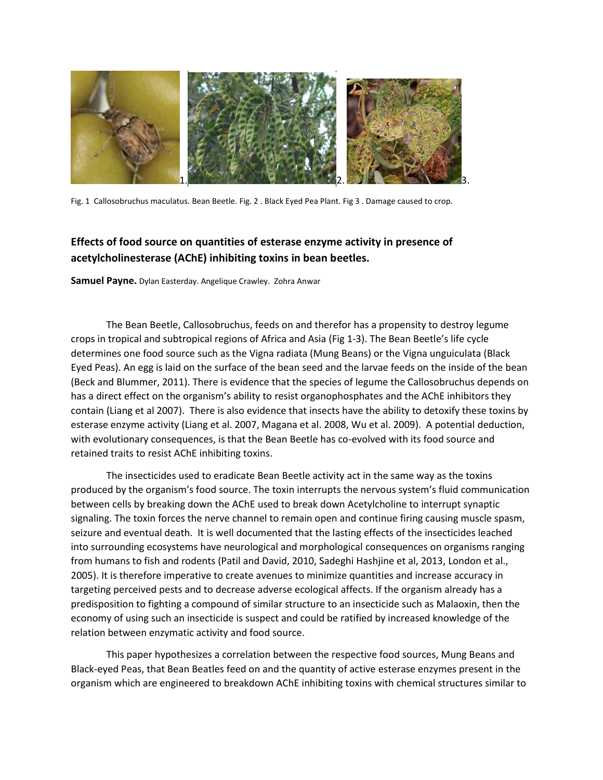

Fig. 1 Callosobruchus maculatus. Bean Beetle. Fig. 2 . Black Eyed Pea Plant. Fig 3 . Damage caused to crop.

# **Effects of food source on quantities of esterase enzyme activity in presence of acetylcholinesterase (AChE) inhibiting toxins in bean beetles.**

**Samuel Payne.** Dylan Easterday. Angelique Crawley. Zohra Anwar

The Bean Beetle, Callosobruchus, feeds on and therefor has a propensity to destroy legume crops in tropical and subtropical regions of Africa and Asia (Fig 1-3). The Bean Beetle's life cycle determines one food source such as the Vigna radiata (Mung Beans) or the Vigna unguiculata (Black Eyed Peas). An egg is laid on the surface of the bean seed and the larvae feeds on the inside of the bean (Beck and Blummer, 2011). There is evidence that the species of legume the Callosobruchus depends on has a direct effect on the organism's ability to resist organophosphates and the AChE inhibitors they contain (Liang et al 2007). There is also evidence that insects have the ability to detoxify these toxins by esterase enzyme activity (Liang et al. 2007, Magana et al. 2008, Wu et al. 2009). A potential deduction, with evolutionary consequences, is that the Bean Beetle has co-evolved with its food source and retained traits to resist AChE inhibiting toxins.

The insecticides used to eradicate Bean Beetle activity act in the same way as the toxins produced by the organism's food source. The toxin interrupts the nervous system's fluid communication between cells by breaking down the AChE used to break down Acetylcholine to interrupt synaptic signaling. The toxin forces the nerve channel to remain open and continue firing causing muscle spasm, seizure and eventual death. It is well documented that the lasting effects of the insecticides leached into surrounding ecosystems have neurological and morphological consequences on organisms ranging from humans to fish and rodents (Patil and David, 2010, Sadeghi Hashjine et al, 2013, London et al., 2005). It is therefore imperative to create avenues to minimize quantities and increase accuracy in targeting perceived pests and to decrease adverse ecological affects. If the organism already has a predisposition to fighting a compound of similar structure to an insecticide such as Malaoxin, then the economy of using such an insecticide is suspect and could be ratified by increased knowledge of the relation between enzymatic activity and food source.

This paper hypothesizes a correlation between the respective food sources, Mung Beans and Black-eyed Peas, that Bean Beatles feed on and the quantity of active esterase enzymes present in the organism which are engineered to breakdown AChE inhibiting toxins with chemical structures similar to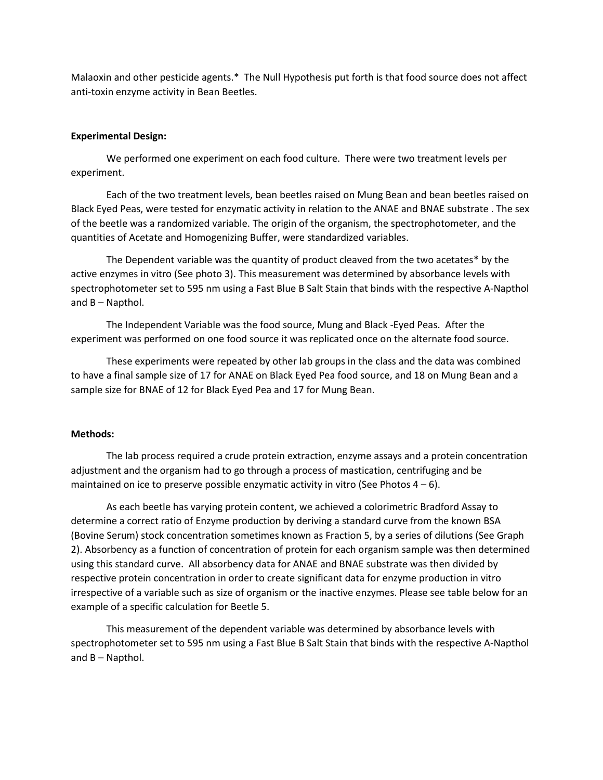Malaoxin and other pesticide agents.\* The Null Hypothesis put forth is that food source does not affect anti-toxin enzyme activity in Bean Beetles.

#### **Experimental Design:**

We performed one experiment on each food culture. There were two treatment levels per experiment.

Each of the two treatment levels, bean beetles raised on Mung Bean and bean beetles raised on Black Eyed Peas, were tested for enzymatic activity in relation to the ANAE and BNAE substrate . The sex of the beetle was a randomized variable. The origin of the organism, the spectrophotometer, and the quantities of Acetate and Homogenizing Buffer, were standardized variables.

The Dependent variable was the quantity of product cleaved from the two acetates\* by the active enzymes in vitro (See photo 3). This measurement was determined by absorbance levels with spectrophotometer set to 595 nm using a Fast Blue B Salt Stain that binds with the respective A-Napthol and B – Napthol.

The Independent Variable was the food source, Mung and Black -Eyed Peas. After the experiment was performed on one food source it was replicated once on the alternate food source.

These experiments were repeated by other lab groups in the class and the data was combined to have a final sample size of 17 for ANAE on Black Eyed Pea food source, and 18 on Mung Bean and a sample size for BNAE of 12 for Black Eyed Pea and 17 for Mung Bean.

#### **Methods:**

The lab process required a crude protein extraction, enzyme assays and a protein concentration adjustment and the organism had to go through a process of mastication, centrifuging and be maintained on ice to preserve possible enzymatic activity in vitro (See Photos  $4-6$ ).

As each beetle has varying protein content, we achieved a colorimetric Bradford Assay to determine a correct ratio of Enzyme production by deriving a standard curve from the known BSA (Bovine Serum) stock concentration sometimes known as Fraction 5, by a series of dilutions (See Graph 2). Absorbency as a function of concentration of protein for each organism sample was then determined using this standard curve. All absorbency data for ANAE and BNAE substrate was then divided by respective protein concentration in order to create significant data for enzyme production in vitro irrespective of a variable such as size of organism or the inactive enzymes. Please see table below for an example of a specific calculation for Beetle 5.

This measurement of the dependent variable was determined by absorbance levels with spectrophotometer set to 595 nm using a Fast Blue B Salt Stain that binds with the respective A-Napthol and B – Napthol.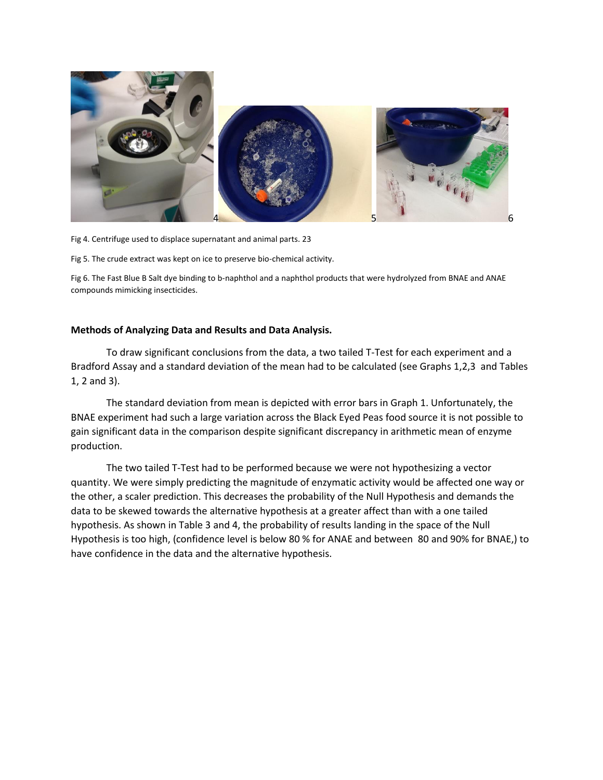

Fig 4. Centrifuge used to displace supernatant and animal parts. 23

Fig 5. The crude extract was kept on ice to preserve bio-chemical activity.

Fig 6. The Fast Blue B Salt dye binding to b-naphthol and a naphthol products that were hydrolyzed from BNAE and ANAE compounds mimicking insecticides.

### **Methods of Analyzing Data and Results and Data Analysis.**

To draw significant conclusions from the data, a two tailed T-Test for each experiment and a Bradford Assay and a standard deviation of the mean had to be calculated (see Graphs 1,2,3 and Tables 1, 2 and 3).

The standard deviation from mean is depicted with error bars in Graph 1. Unfortunately, the BNAE experiment had such a large variation across the Black Eyed Peas food source it is not possible to gain significant data in the comparison despite significant discrepancy in arithmetic mean of enzyme production.

The two tailed T-Test had to be performed because we were not hypothesizing a vector quantity. We were simply predicting the magnitude of enzymatic activity would be affected one way or the other, a scaler prediction. This decreases the probability of the Null Hypothesis and demands the data to be skewed towards the alternative hypothesis at a greater affect than with a one tailed hypothesis. As shown in Table 3 and 4, the probability of results landing in the space of the Null Hypothesis is too high, (confidence level is below 80 % for ANAE and between 80 and 90% for BNAE,) to have confidence in the data and the alternative hypothesis.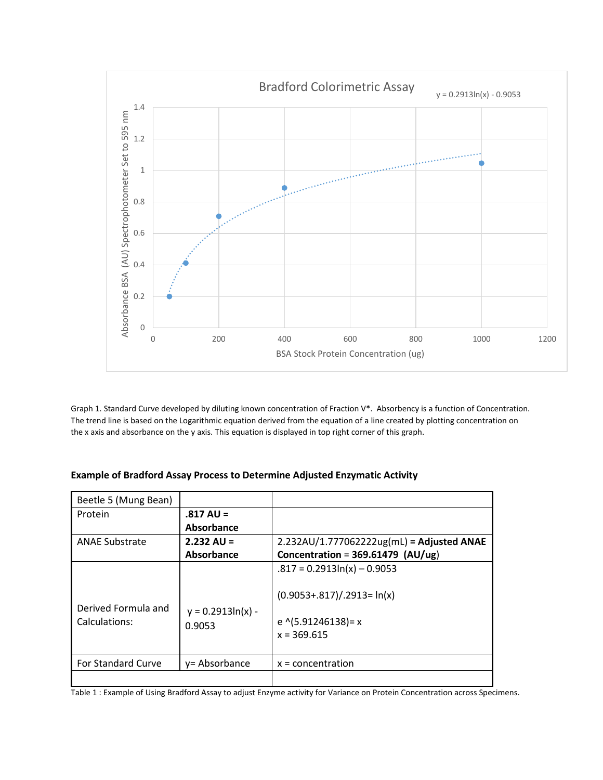

Graph 1. Standard Curve developed by diluting known concentration of Fraction V\*. Absorbency is a function of Concentration. The trend line is based on the Logarithmic equation derived from the equation of a line created by plotting concentration on the x axis and absorbance on the y axis. This equation is displayed in top right corner of this graph.

### **Example of Bradford Assay Process to Determine Adjusted Enzymatic Activity**

| Beetle 5 (Mung Bean)                 |                               |                                                                                                               |
|--------------------------------------|-------------------------------|---------------------------------------------------------------------------------------------------------------|
| Protein                              | $.817 \text{ AU} =$           |                                                                                                               |
|                                      | Absorbance                    |                                                                                                               |
| <b>ANAE Substrate</b>                | $2.232$ AU =                  | 2.232AU/1.777062222ug(mL) = Adjusted ANAE                                                                     |
|                                      | Absorbance                    | Concentration = $369.61479$ (AU/ug)                                                                           |
| Derived Formula and<br>Calculations: | $y = 0.2913ln(x) -$<br>0.9053 | $.817 = 0.2913\ln(x) - 0.9053$<br>$(0.9053+.817)/.2913=ln(x)$<br>e $\sqrt{(5.91246138)}$ = x<br>$x = 369.615$ |
| <b>For Standard Curve</b>            | y= Absorbance                 | $x = concentration$                                                                                           |
|                                      |                               |                                                                                                               |

Table 1 : Example of Using Bradford Assay to adjust Enzyme activity for Variance on Protein Concentration across Specimens.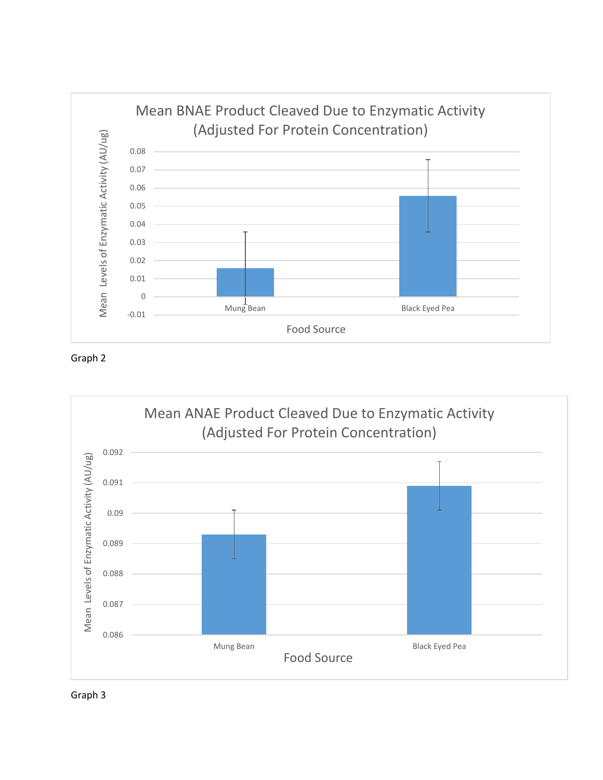

Graph 2



Graph 3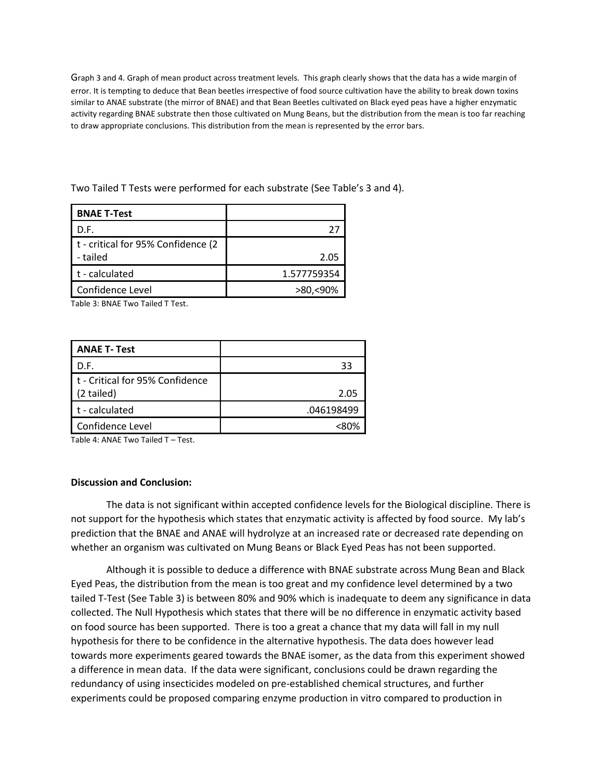Graph 3 and 4. Graph of mean product across treatment levels. This graph clearly shows that the data has a wide margin of error. It is tempting to deduce that Bean beetles irrespective of food source cultivation have the ability to break down toxins similar to ANAE substrate (the mirror of BNAE) and that Bean Beetles cultivated on Black eyed peas have a higher enzymatic activity regarding BNAE substrate then those cultivated on Mung Beans, but the distribution from the mean is too far reaching to draw appropriate conclusions. This distribution from the mean is represented by the error bars.

Two Tailed T Tests were performed for each substrate (See Table's 3 and 4).

| <b>BNAE T-Test</b>                              |             |
|-------------------------------------------------|-------------|
| D.F.                                            |             |
| t - critical for 95% Confidence (2)<br>- tailed | 2.05        |
| t - calculated                                  | 1.577759354 |
| Confidence Level                                | >80.<90%    |

Table 3: BNAE Two Tailed T Test.

| <b>ANAE T- Test</b>                           |            |
|-----------------------------------------------|------------|
| D.F.                                          | 33         |
| t - Critical for 95% Confidence<br>(2 tailed) | 2.05       |
| $\mathsf{t}$ - calculated                     | .046198499 |
| Confidence Level                              |            |

Table 4: ANAE Two Tailed T – Test.

## **Discussion and Conclusion:**

The data is not significant within accepted confidence levels for the Biological discipline. There is not support for the hypothesis which states that enzymatic activity is affected by food source. My lab's prediction that the BNAE and ANAE will hydrolyze at an increased rate or decreased rate depending on whether an organism was cultivated on Mung Beans or Black Eyed Peas has not been supported.

Although it is possible to deduce a difference with BNAE substrate across Mung Bean and Black Eyed Peas, the distribution from the mean is too great and my confidence level determined by a two tailed T-Test (See Table 3) is between 80% and 90% which is inadequate to deem any significance in data collected. The Null Hypothesis which states that there will be no difference in enzymatic activity based on food source has been supported. There is too a great a chance that my data will fall in my null hypothesis for there to be confidence in the alternative hypothesis. The data does however lead towards more experiments geared towards the BNAE isomer, as the data from this experiment showed a difference in mean data. If the data were significant, conclusions could be drawn regarding the redundancy of using insecticides modeled on pre-established chemical structures, and further experiments could be proposed comparing enzyme production in vitro compared to production in